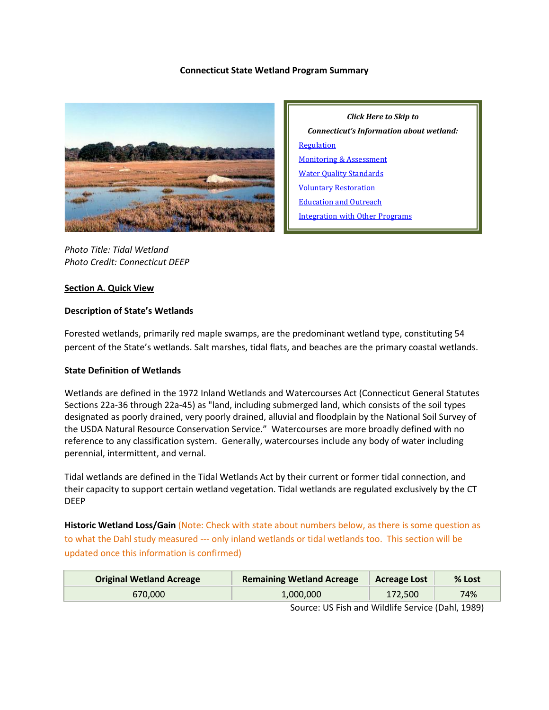### **Connecticut State Wetland Program Summary**



*Connecticut's Information about wetland:* [Regulation](#page-2-0) [Monitoring & Assessment](#page-5-0) [Water Quality Standards](#page-7-0) [Voluntary Restoration](#page-8-0) [Education and Outreach](#page-10-0) [Integration with Other Programs](#page-11-0)

*Click Here to Skip to* 

*Photo Title: Tidal Wetland Photo Credit: Connecticut DEEP*

# **Section A. Quick View**

## **Description of State's Wetlands**

Forested wetlands, primarily red maple swamps, are the predominant wetland type, constituting 54 percent of the State's wetlands. Salt marshes, tidal flats, and beaches are the primary coastal wetlands.

### **State Definition of Wetlands**

Wetlands are defined in the 1972 Inland Wetlands and Watercourses Act (Connecticut General Statutes Sections 22a-36 through 22a-45) as "land, including submerged land, which consists of the soil types designated as poorly drained, very poorly drained, alluvial and floodplain by the National Soil Survey of the USDA Natural Resource Conservation Service." Watercourses are more broadly defined with no reference to any classification system. Generally, watercourses include any body of water including perennial, intermittent, and vernal.

Tidal wetlands are defined in the Tidal Wetlands Act by their current or former tidal connection, and their capacity to support certain wetland vegetation. Tidal wetlands are regulated exclusively by the CT DEEP

**Historic Wetland Loss/Gain** (Note: Check with state about numbers below, as there is some question as to what the Dahl study measured --- only inland wetlands or tidal wetlands too. This section will be updated once this information is confirmed)

| <b>Original Wetland Acreage</b> | <b>Remaining Wetland Acreage</b> | <b>Acreage Lost</b> | % Lost |
|---------------------------------|----------------------------------|---------------------|--------|
| 670,000                         | 1,000,000                        | 172.500             | 74%    |

Source: US Fish and Wildlife Service (Dahl, 1989)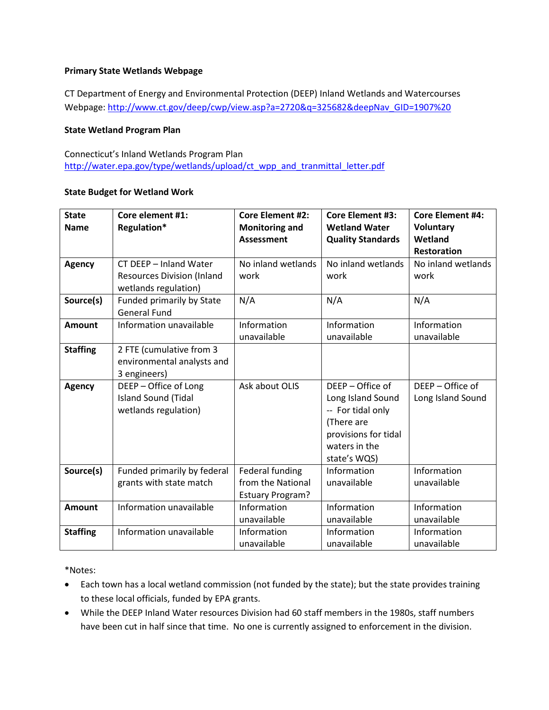# **Primary State Wetlands Webpage**

CT Department of Energy and Environmental Protection (DEEP) Inland Wetlands and Watercourses Webpage: [http://www.ct.gov/deep/cwp/view.asp?a=2720&q=325682&deepNav\\_GID=1907%20](http://www.ct.gov/deep/cwp/view.asp?a=2720&q=325682&deepNav_GID=1907%20)

### **State Wetland Program Plan**

Connecticut's Inland Wetlands Program Plan [http://water.epa.gov/type/wetlands/upload/ct\\_wpp\\_and\\_tranmittal\\_letter.pdf](http://water.epa.gov/type/wetlands/upload/ct_wpp_and_tranmittal_letter.pdf)

## **State Budget for Wetland Work**

| <b>State</b><br><b>Name</b> | Core element #1:<br>Regulation*                                                     | <b>Core Element #2:</b><br><b>Monitoring and</b><br><b>Assessment</b>  | <b>Core Element #3:</b><br><b>Wetland Water</b><br><b>Quality Standards</b>                                                       | <b>Core Element #4:</b><br><b>Voluntary</b><br>Wetland<br><b>Restoration</b> |
|-----------------------------|-------------------------------------------------------------------------------------|------------------------------------------------------------------------|-----------------------------------------------------------------------------------------------------------------------------------|------------------------------------------------------------------------------|
| <b>Agency</b>               | CT DEEP - Inland Water<br><b>Resources Division (Inland</b><br>wetlands regulation) | No inland wetlands<br>work                                             | No inland wetlands<br>work                                                                                                        | No inland wetlands<br>work                                                   |
| Source(s)                   | Funded primarily by State<br><b>General Fund</b>                                    | N/A                                                                    | N/A                                                                                                                               | N/A                                                                          |
| <b>Amount</b>               | Information unavailable                                                             | Information<br>unavailable                                             | Information<br>unavailable                                                                                                        | Information<br>unavailable                                                   |
| <b>Staffing</b>             | 2 FTE (cumulative from 3<br>environmental analysts and<br>3 engineers)              |                                                                        |                                                                                                                                   |                                                                              |
| <b>Agency</b>               | DEEP - Office of Long<br><b>Island Sound (Tidal</b><br>wetlands regulation)         | Ask about OLIS                                                         | DEEP - Office of<br>Long Island Sound<br>-- For tidal only<br>(There are<br>provisions for tidal<br>waters in the<br>state's WQS) | DEEP - Office of<br>Long Island Sound                                        |
| Source(s)                   | Funded primarily by federal<br>grants with state match                              | <b>Federal funding</b><br>from the National<br><b>Estuary Program?</b> | Information<br>unavailable                                                                                                        | Information<br>unavailable                                                   |
| <b>Amount</b>               | Information unavailable                                                             | Information<br>unavailable                                             | Information<br>unavailable                                                                                                        | Information<br>unavailable                                                   |
| <b>Staffing</b>             | Information unavailable                                                             | Information<br>unavailable                                             | Information<br>unavailable                                                                                                        | Information<br>unavailable                                                   |

\*Notes:

- Each town has a local wetland commission (not funded by the state); but the state provides training to these local officials, funded by EPA grants.
- While the DEEP Inland Water resources Division had 60 staff members in the 1980s, staff numbers have been cut in half since that time. No one is currently assigned to enforcement in the division.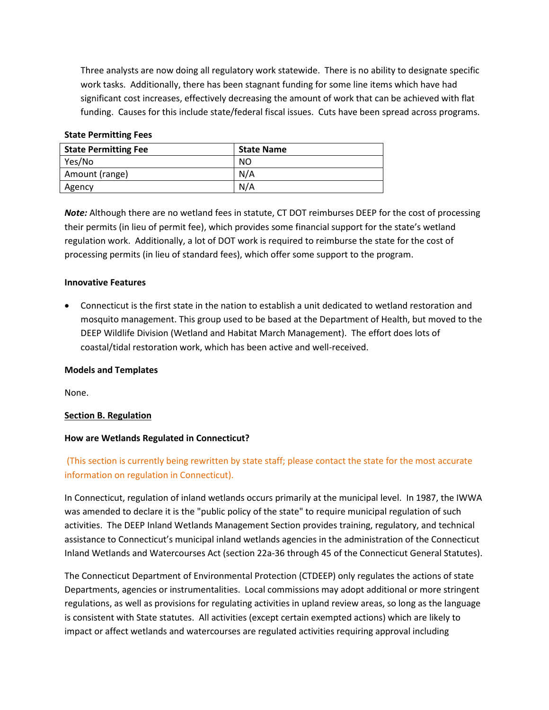Three analysts are now doing all regulatory work statewide. There is no ability to designate specific work tasks. Additionally, there has been stagnant funding for some line items which have had significant cost increases, effectively decreasing the amount of work that can be achieved with flat funding. Causes for this include state/federal fiscal issues. Cuts have been spread across programs.

### **State Permitting Fees**

| <b>State Permitting Fee</b> | <b>State Name</b> |
|-----------------------------|-------------------|
| Yes/No                      | NO                |
| Amount (range)              | N/A               |
| Agency                      | N/A               |

*Note:* Although there are no wetland fees in statute, CT DOT reimburses DEEP for the cost of processing their permits (in lieu of permit fee), which provides some financial support for the state's wetland regulation work. Additionally, a lot of DOT work is required to reimburse the state for the cost of processing permits (in lieu of standard fees), which offer some support to the program.

### **Innovative Features**

• Connecticut is the first state in the nation to establish a unit dedicated to wetland restoration and mosquito management. This group used to be based at the Department of Health, but moved to the DEEP Wildlife Division (Wetland and Habitat March Management). The effort does lots of coastal/tidal restoration work, which has been active and well-received.

### **Models and Templates**

None.

# <span id="page-2-0"></span>**Section B. Regulation**

### **How are Wetlands Regulated in Connecticut?**

# (This section is currently being rewritten by state staff; please contact the state for the most accurate information on regulation in Connecticut).

In Connecticut, regulation of inland wetlands occurs primarily at the municipal level. In 1987, the IWWA was amended to declare it is the "public policy of the state" to require municipal regulation of such activities. The DEEP Inland Wetlands Management Section provides training, regulatory, and technical assistance to Connecticut's municipal inland wetlands agencies in the administration of the Connecticut Inland Wetlands and Watercourses Act (section 22a-36 through 45 of the Connecticut General Statutes).

The Connecticut Department of Environmental Protection (CTDEEP) only regulates the actions of state Departments, agencies or instrumentalities. Local commissions may adopt additional or more stringent regulations, as well as provisions for regulating activities in upland review areas, so long as the language is consistent with State statutes. All activities (except certain exempted actions) which are likely to impact or affect wetlands and watercourses are regulated activities requiring approval including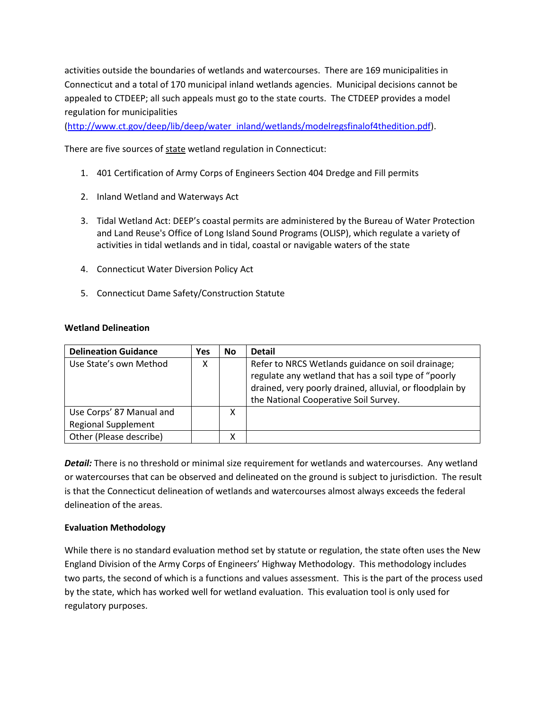activities outside the boundaries of wetlands and watercourses. There are 169 municipalities in Connecticut and a total of 170 municipal inland wetlands agencies. Municipal decisions cannot be appealed to CTDEEP; all such appeals must go to the state courts. The CTDEEP provides a model regulation for municipalities

[\(http://www.ct.gov/deep/lib/deep/water\\_inland/wetlands/modelregsfinalof4thedition.pdf\)](http://www.ct.gov/deep/lib/deep/water_inland/wetlands/modelregsfinalof4thedition.pdf).

There are five sources of state wetland regulation in Connecticut:

- 1. 401 Certification of Army Corps of Engineers Section 404 Dredge and Fill permits
- 2. Inland Wetland and Waterways Act
- 3. Tidal Wetland Act: DEEP's coastal permits are administered by the Bureau of Water Protection and Land Reuse's Office of Long Island Sound Programs (OLISP), which regulate a variety of activities in tidal wetlands and in tidal, coastal or navigable waters of the state
- 4. Connecticut Water Diversion Policy Act
- 5. Connecticut Dame Safety/Construction Statute

# **Wetland Delineation**

| <b>Delineation Guidance</b> | Yes | <b>No</b> | <b>Detail</b>                                                                                                                                                                                                  |
|-----------------------------|-----|-----------|----------------------------------------------------------------------------------------------------------------------------------------------------------------------------------------------------------------|
| Use State's own Method      |     |           | Refer to NRCS Wetlands guidance on soil drainage;<br>regulate any wetland that has a soil type of "poorly<br>drained, very poorly drained, alluvial, or floodplain by<br>the National Cooperative Soil Survey. |
| Use Corps' 87 Manual and    |     | x         |                                                                                                                                                                                                                |
| <b>Regional Supplement</b>  |     |           |                                                                                                                                                                                                                |
| Other (Please describe)     |     | х         |                                                                                                                                                                                                                |

*Detail:* There is no threshold or minimal size requirement for wetlands and watercourses. Any wetland or watercourses that can be observed and delineated on the ground is subject to jurisdiction. The result is that the Connecticut delineation of wetlands and watercourses almost always exceeds the federal delineation of the areas.

# **Evaluation Methodology**

While there is no standard evaluation method set by statute or regulation, the state often uses the New England Division of the Army Corps of Engineers' Highway Methodology. This methodology includes two parts, the second of which is a functions and values assessment. This is the part of the process used by the state, which has worked well for wetland evaluation. This evaluation tool is only used for regulatory purposes.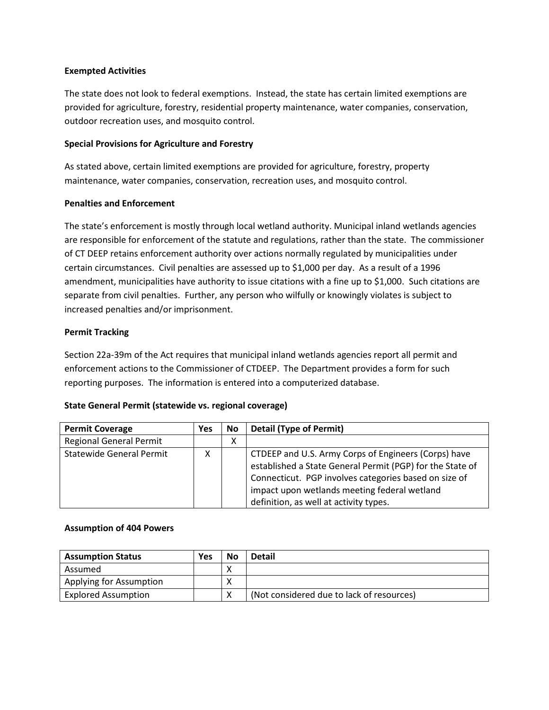## **Exempted Activities**

The state does not look to federal exemptions. Instead, the state has certain limited exemptions are provided for agriculture, forestry, residential property maintenance, water companies, conservation, outdoor recreation uses, and mosquito control.

# **Special Provisions for Agriculture and Forestry**

As stated above, certain limited exemptions are provided for agriculture, forestry, property maintenance, water companies, conservation, recreation uses, and mosquito control.

## **Penalties and Enforcement**

The state's enforcement is mostly through local wetland authority. Municipal inland wetlands agencies are responsible for enforcement of the statute and regulations, rather than the state. The commissioner of CT DEEP retains enforcement authority over actions normally regulated by municipalities under certain circumstances. Civil penalties are assessed up to \$1,000 per day. As a result of a 1996 amendment, municipalities have authority to issue citations with a fine up to \$1,000. Such citations are separate from civil penalties. Further, any person who wilfully or knowingly violates is subject to increased penalties and/or imprisonment.

# **Permit Tracking**

Section 22a-39m of the Act requires that municipal inland wetlands agencies report all permit and enforcement actions to the Commissioner of CTDEEP. The Department provides a form for such reporting purposes. The information is entered into a computerized database.

# **State General Permit (statewide vs. regional coverage)**

| <b>Permit Coverage</b>          | <b>Yes</b> | No | <b>Detail (Type of Permit)</b>                                                                                                                                                                                                                                       |
|---------------------------------|------------|----|----------------------------------------------------------------------------------------------------------------------------------------------------------------------------------------------------------------------------------------------------------------------|
| <b>Regional General Permit</b>  |            | х  |                                                                                                                                                                                                                                                                      |
| <b>Statewide General Permit</b> | x          |    | CTDEEP and U.S. Army Corps of Engineers (Corps) have<br>established a State General Permit (PGP) for the State of<br>Connecticut. PGP involves categories based on size of<br>impact upon wetlands meeting federal wetland<br>definition, as well at activity types. |

### **Assumption of 404 Powers**

| <b>Assumption Status</b>   | <b>Yes</b> | <b>No</b> | <b>Detail</b>                             |
|----------------------------|------------|-----------|-------------------------------------------|
| Assumed                    |            |           |                                           |
| Applying for Assumption    |            |           |                                           |
| <b>Explored Assumption</b> |            |           | (Not considered due to lack of resources) |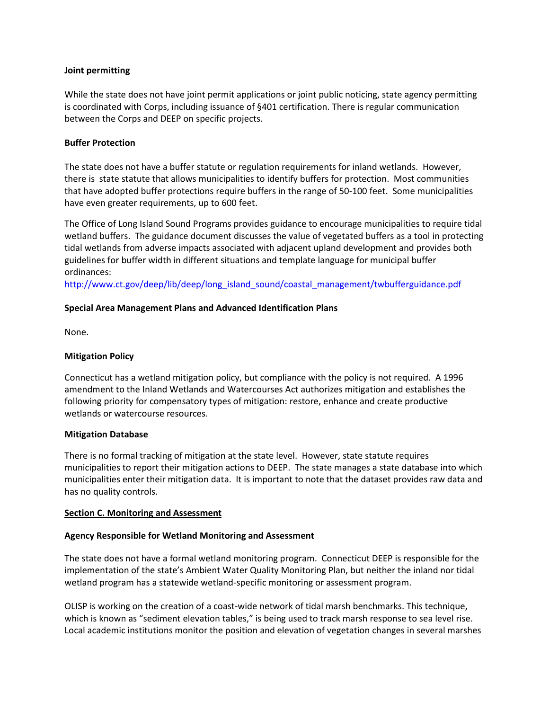## **Joint permitting**

While the state does not have joint permit applications or joint public noticing, state agency permitting is coordinated with Corps, including issuance of §401 certification. There is regular communication between the Corps and DEEP on specific projects.

# **Buffer Protection**

The state does not have a buffer statute or regulation requirements for inland wetlands. However, there is state statute that allows municipalities to identify buffers for protection. Most communities that have adopted buffer protections require buffers in the range of 50-100 feet. Some municipalities have even greater requirements, up to 600 feet.

The Office of Long Island Sound Programs provides guidance to encourage municipalities to require tidal wetland buffers. The guidance document discusses the value of vegetated buffers as a tool in protecting tidal wetlands from adverse impacts associated with adjacent upland development and provides both guidelines for buffer width in different situations and template language for municipal buffer ordinances:

[http://www.ct.gov/deep/lib/deep/long\\_island\\_sound/coastal\\_management/twbufferguidance.pdf](http://www.ct.gov/deep/lib/deep/long_island_sound/coastal_management/twbufferguidance.pdf)

## **Special Area Management Plans and Advanced Identification Plans**

None.

### **Mitigation Policy**

Connecticut has a wetland mitigation policy, but compliance with the policy is not required. A 1996 amendment to the Inland Wetlands and Watercourses Act authorizes mitigation and establishes the following priority for compensatory types of mitigation: restore, enhance and create productive wetlands or watercourse resources.

### **Mitigation Database**

There is no formal tracking of mitigation at the state level. However, state statute requires municipalities to report their mitigation actions to DEEP. The state manages a state database into which municipalities enter their mitigation data. It is important to note that the dataset provides raw data and has no quality controls.

### <span id="page-5-0"></span>**Section C. Monitoring and Assessment**

### **Agency Responsible for Wetland Monitoring and Assessment**

The state does not have a formal wetland monitoring program. Connecticut DEEP is responsible for the implementation of the state's Ambient Water Quality Monitoring Plan, but neither the inland nor tidal wetland program has a statewide wetland-specific monitoring or assessment program.

OLISP is working on the creation of a coast-wide network of tidal marsh benchmarks. This technique, which is known as "sediment elevation tables," is being used to track marsh response to sea level rise. Local academic institutions monitor the position and elevation of vegetation changes in several marshes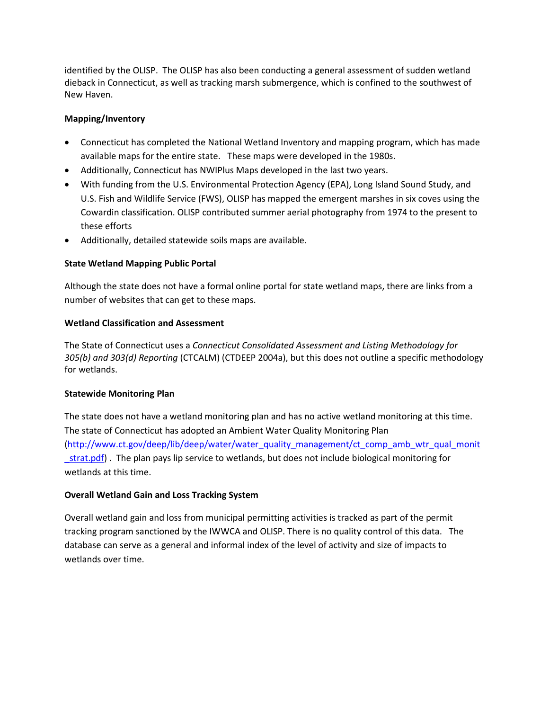identified by the OLISP. The OLISP has also been conducting a general assessment of sudden wetland dieback in Connecticut, as well as tracking marsh submergence, which is confined to the southwest of New Haven.

# **Mapping/Inventory**

- Connecticut has completed the National Wetland Inventory and mapping program, which has made available maps for the entire state. These maps were developed in the 1980s.
- Additionally, Connecticut has NWIPlus Maps developed in the last two years.
- With funding from the U.S. Environmental Protection Agency (EPA), Long Island Sound Study, and U.S. Fish and Wildlife Service (FWS), OLISP has mapped the emergent marshes in six coves using the Cowardin classification. OLISP contributed summer aerial photography from 1974 to the present to these efforts
- Additionally, detailed statewide soils maps are available.

# **State Wetland Mapping Public Portal**

Although the state does not have a formal online portal for state wetland maps, there are links from a number of websites that can get to these maps.

# **Wetland Classification and Assessment**

The State of Connecticut uses a *Connecticut Consolidated Assessment and Listing Methodology for 305(b) and 303(d) Reporting* (CTCALM) (CTDEEP 2004a), but this does not outline a specific methodology for wetlands.

# **Statewide Monitoring Plan**

The state does not have a wetland monitoring plan and has no active wetland monitoring at this time. The state of Connecticut has adopted an Ambient Water Quality Monitoring Plan [\(http://www.ct.gov/deep/lib/deep/water/water\\_quality\\_management/ct\\_comp\\_amb\\_wtr\\_qual\\_monit](http://www.ct.gov/deep/lib/deep/water/water_quality_management/ct_comp_amb_wtr_qual_monit%20%20_strat.pdf)  strat.pdf). The plan pays lip service to wetlands, but does not include biological monitoring for wetlands at this time.

# **Overall Wetland Gain and Loss Tracking System**

Overall wetland gain and loss from municipal permitting activities is tracked as part of the permit tracking program sanctioned by the IWWCA and OLISP. There is no quality control of this data. The database can serve as a general and informal index of the level of activity and size of impacts to wetlands over time.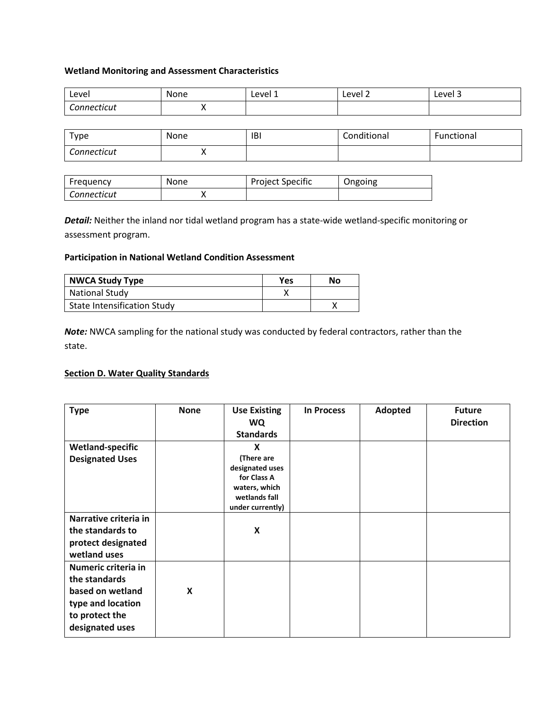## **Wetland Monitoring and Assessment Characteristics**

| Level       | None | Level 1 | Level 2 | Level 3 |
|-------------|------|---------|---------|---------|
| Connecticut | . .  |         |         |         |

| Type        | None | <b>IBI</b> | Conditional | Functional |
|-------------|------|------------|-------------|------------|
| Connecticut | ,,   |            |             |            |

| Frequency   | None | <b>Project Specific</b> | Ongoing |
|-------------|------|-------------------------|---------|
| Connecticut |      |                         |         |

*Detail:* Neither the inland nor tidal wetland program has a state-wide wetland-specific monitoring or assessment program.

## **Participation in National Wetland Condition Assessment**

| <b>NWCA Study Type</b>             | Yes | No |
|------------------------------------|-----|----|
| <b>National Study</b>              |     |    |
| <b>State Intensification Study</b> |     |    |

*Note:* NWCA sampling for the national study was conducted by federal contractors, rather than the state.

# <span id="page-7-0"></span>**Section D. Water Quality Standards**

| <b>Type</b>                                                                                                        | <b>None</b> | <b>Use Existing</b><br><b>WQ</b><br><b>Standards</b>                                                    | <b>In Process</b> | Adopted | <b>Future</b><br><b>Direction</b> |
|--------------------------------------------------------------------------------------------------------------------|-------------|---------------------------------------------------------------------------------------------------------|-------------------|---------|-----------------------------------|
| <b>Wetland-specific</b><br><b>Designated Uses</b>                                                                  |             | X<br>(There are<br>designated uses<br>for Class A<br>waters, which<br>wetlands fall<br>under currently) |                   |         |                                   |
| Narrative criteria in<br>the standards to<br>protect designated<br>wetland uses                                    |             | X                                                                                                       |                   |         |                                   |
| Numeric criteria in<br>the standards<br>based on wetland<br>type and location<br>to protect the<br>designated uses | X           |                                                                                                         |                   |         |                                   |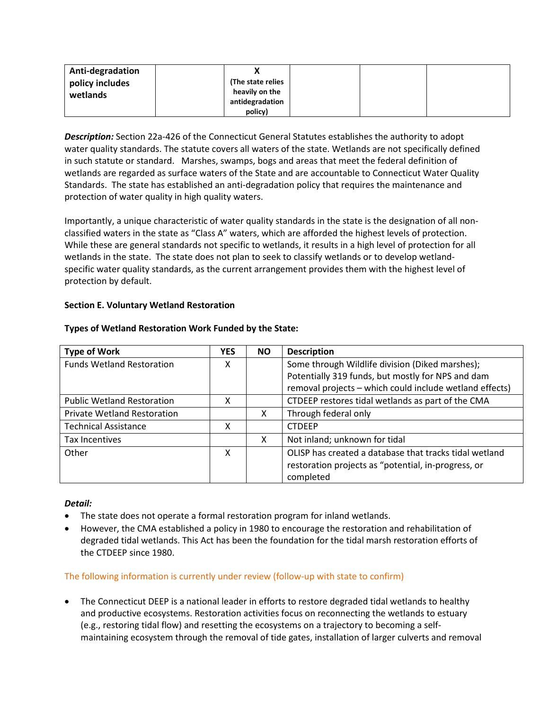| Anti-degradation            |                                     |  |  |
|-----------------------------|-------------------------------------|--|--|
| policy includes<br>wetlands | (The state relies<br>heavily on the |  |  |
|                             | antidegradation<br>policy)          |  |  |

*Description:* Section 22a-426 of the Connecticut General Statutes establishes the authority to adopt water quality standards. The statute covers all waters of the state. Wetlands are not specifically defined in such statute or standard. Marshes, swamps, bogs and areas that meet the federal definition of wetlands are regarded as surface waters of the State and are accountable to Connecticut Water Quality Standards. The state has established an anti-degradation policy that requires the maintenance and protection of water quality in high quality waters.

Importantly, a unique characteristic of water quality standards in the state is the designation of all nonclassified waters in the state as "Class A" waters, which are afforded the highest levels of protection. While these are general standards not specific to wetlands, it results in a high level of protection for all wetlands in the state. The state does not plan to seek to classify wetlands or to develop wetlandspecific water quality standards, as the current arrangement provides them with the highest level of protection by default.

# <span id="page-8-0"></span>**Section E. Voluntary Wetland Restoration**

| <b>Type of Work</b>                | <b>YES</b> | <b>NO</b> | <b>Description</b>                                      |
|------------------------------------|------------|-----------|---------------------------------------------------------|
| <b>Funds Wetland Restoration</b>   | X          |           | Some through Wildlife division (Diked marshes);         |
|                                    |            |           | Potentially 319 funds, but mostly for NPS and dam       |
|                                    |            |           | removal projects - which could include wetland effects) |
| <b>Public Wetland Restoration</b>  | x          |           | CTDEEP restores tidal wetlands as part of the CMA       |
| <b>Private Wetland Restoration</b> |            | х         | Through federal only                                    |
| <b>Technical Assistance</b>        | Χ          |           | <b>CTDFFP</b>                                           |
| <b>Tax Incentives</b>              |            | x         | Not inland; unknown for tidal                           |
| Other                              | x          |           | OLISP has created a database that tracks tidal wetland  |
|                                    |            |           | restoration projects as "potential, in-progress, or     |
|                                    |            |           | completed                                               |

### **Types of Wetland Restoration Work Funded by the State:**

### *Detail:*

- The state does not operate a formal restoration program for inland wetlands.
- However, the CMA established a policy in 1980 to encourage the restoration and rehabilitation of degraded tidal wetlands. This Act has been the foundation for the tidal marsh restoration efforts of the CTDEEP since 1980.

### The following information is currently under review (follow-up with state to confirm)

• The Connecticut DEEP is a national leader in efforts to restore degraded tidal wetlands to healthy and productive ecosystems. Restoration activities focus on reconnecting the wetlands to estuary (e.g., restoring tidal flow) and resetting the ecosystems on a trajectory to becoming a selfmaintaining ecosystem through the removal of tide gates, installation of larger culverts and removal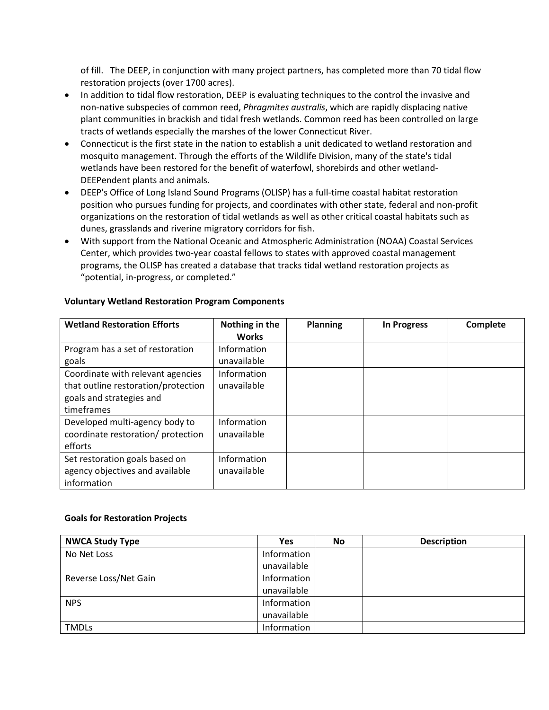of fill. The DEEP, in conjunction with many project partners, has completed more than 70 tidal flow restoration projects (over 1700 acres).

- In addition to tidal flow restoration, DEEP is evaluating techniques to the control the invasive and non-native subspecies of common reed, *Phragmites australis*, which are rapidly displacing native plant communities in brackish and tidal fresh wetlands. Common reed has been controlled on large tracts of wetlands especially the marshes of the lower Connecticut River.
- Connecticut is the first state in the nation to establish a unit dedicated to wetland restoration and mosquito management. Through the efforts of the Wildlife Division, many of the state's tidal wetlands have been restored for the benefit of waterfowl, shorebirds and other wetland-DEEPendent plants and animals.
- DEEP's Office of Long Island Sound Programs (OLISP) has a full-time coastal habitat restoration position who pursues funding for projects, and coordinates with other state, federal and non-profit organizations on the restoration of tidal wetlands as well as other critical coastal habitats such as dunes, grasslands and riverine migratory corridors for fish.
- With support from the National Oceanic and Atmospheric Administration (NOAA) Coastal Services Center, which provides two-year coastal fellows to states with approved coastal management programs, the OLISP has created a database that tracks tidal wetland restoration projects as "potential, in-progress, or completed."

| <b>Wetland Restoration Efforts</b>  | Nothing in the | <b>Planning</b> | <b>In Progress</b> | Complete |
|-------------------------------------|----------------|-----------------|--------------------|----------|
|                                     | <b>Works</b>   |                 |                    |          |
| Program has a set of restoration    | Information    |                 |                    |          |
| goals                               | unavailable    |                 |                    |          |
| Coordinate with relevant agencies   | Information    |                 |                    |          |
| that outline restoration/protection | unavailable    |                 |                    |          |
| goals and strategies and            |                |                 |                    |          |
| timeframes                          |                |                 |                    |          |
| Developed multi-agency body to      | Information    |                 |                    |          |
| coordinate restoration/ protection  | unavailable    |                 |                    |          |
| efforts                             |                |                 |                    |          |
| Set restoration goals based on      | Information    |                 |                    |          |
| agency objectives and available     | unavailable    |                 |                    |          |
| information                         |                |                 |                    |          |

# **Voluntary Wetland Restoration Program Components**

# **Goals for Restoration Projects**

| <b>NWCA Study Type</b> | <b>Yes</b>  | <b>No</b> | <b>Description</b> |
|------------------------|-------------|-----------|--------------------|
| No Net Loss            | Information |           |                    |
|                        | unavailable |           |                    |
| Reverse Loss/Net Gain  | Information |           |                    |
|                        | unavailable |           |                    |
| <b>NPS</b>             | Information |           |                    |
|                        | unavailable |           |                    |
| <b>TMDLs</b>           | Information |           |                    |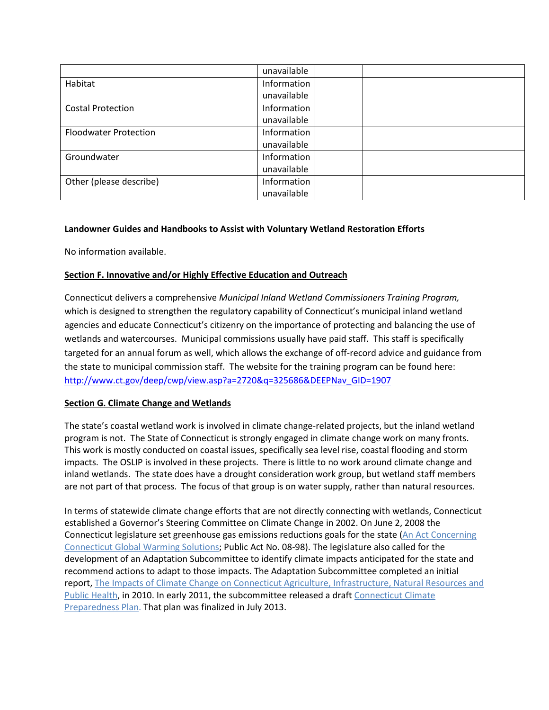|                              | unavailable |  |
|------------------------------|-------------|--|
| Habitat                      | Information |  |
|                              | unavailable |  |
| <b>Costal Protection</b>     | Information |  |
|                              | unavailable |  |
| <b>Floodwater Protection</b> | Information |  |
|                              | unavailable |  |
| Groundwater                  | Information |  |
|                              | unavailable |  |
| Other (please describe)      | Information |  |
|                              | unavailable |  |

# **Landowner Guides and Handbooks to Assist with Voluntary Wetland Restoration Efforts**

No information available.

# <span id="page-10-0"></span>**Section F. Innovative and/or Highly Effective Education and Outreach**

Connecticut delivers a comprehensive *Municipal Inland Wetland Commissioners Training Program,*  which is designed to strengthen the regulatory capability of Connecticut's municipal inland wetland agencies and educate Connecticut's citizenry on the importance of protecting and balancing the use of wetlands and watercourses. Municipal commissions usually have paid staff. This staff is specifically targeted for an annual forum as well, which allows the exchange of off-record advice and guidance from the state to municipal commission staff. The website for the training program can be found here: [http://www.ct.gov/deep/cwp/view.asp?a=2720&q=325686&DEEPNav\\_GID=1907](http://www.ct.gov/deep/cwp/view.asp?a=2720&q=325686&depNav_GID=1907)

# **Section G. Climate Change and Wetlands**

The state's coastal wetland work is involved in climate change-related projects, but the inland wetland program is not. The State of Connecticut is strongly engaged in climate change work on many fronts. This work is mostly conducted on coastal issues, specifically sea level rise, coastal flooding and storm impacts. The OSLIP is involved in these projects. There is little to no work around climate change and inland wetlands. The state does have a drought consideration work group, but wetland staff members are not part of that process. The focus of that group is on water supply, rather than natural resources.

In terms of statewide climate change efforts that are not directly connecting with wetlands, Connecticut established a Governor's Steering Committee on Climate Change in 2002. On June 2, 2008 the Connecticut legislature set greenhouse gas emissions reductions goals for the state [\(An Act Concerning](http://www.georgetownclimate.org/resources/connecticut-public-act-no-08-98-substitute-house-bill-no-5600)  [Connecticut Global Warming Solutions;](http://www.georgetownclimate.org/resources/connecticut-public-act-no-08-98-substitute-house-bill-no-5600) Public Act No. 08-98). The legislature also called for the development of an Adaptation Subcommittee to identify climate impacts anticipated for the state and recommend actions to adapt to those impacts. The Adaptation Subcommittee completed an initial report[, The Impacts of Climate Change on Connecticut Agriculture, Infrastructure, Natural Resources and](http://www.georgetownclimate.org/resources/the-impacts-of-climate-change-on-connecticut-agriculture-infrastructure-natural-resources-)  [Public Health,](http://www.georgetownclimate.org/resources/the-impacts-of-climate-change-on-connecticut-agriculture-infrastructure-natural-resources-) in 2010. In early 2011, the subcommittee released a draft [Connecticut Climate](http://www.georgetownclimate.org/resources/connecticut-climate-change-preparedness-plan)  [Preparedness Plan.](http://www.georgetownclimate.org/resources/connecticut-climate-change-preparedness-plan) That plan was finalized in July 2013.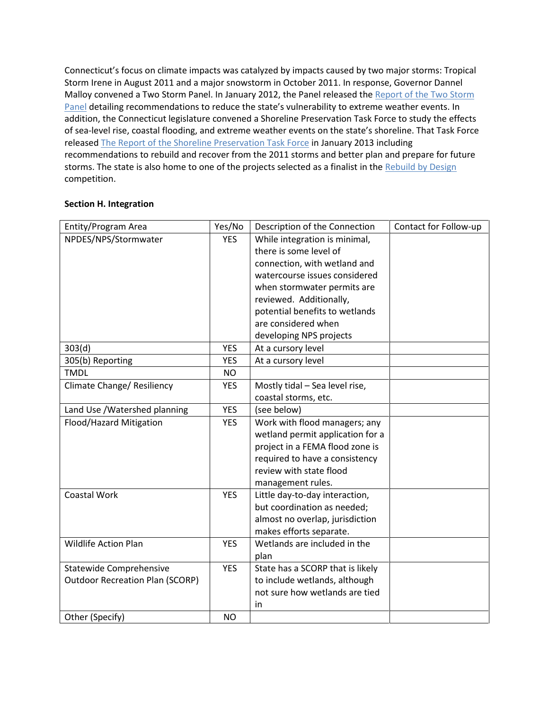Connecticut's focus on climate impacts was catalyzed by impacts caused by two major storms: Tropical Storm Irene in August 2011 and a major snowstorm in October 2011. In response, Governor Dannel Malloy convened a Two Storm Panel. In January 2012, the Panel released the Report of the Two Storm [Panel](http://www.governor.ct.gov/malloy/lib/malloy/two_storm_panel_final_report.pdf) detailing recommendations to reduce the state's vulnerability to extreme weather events. In addition, the Connecticut legislature convened a Shoreline Preservation Task Force to study the effects of sea-level rise, coastal flooding, and extreme weather events on the state's shoreline. That Task Force release[d The Report of the Shoreline Preservation Task Force](http://www.housedems.ct.gov/shore/pubs/Task_Force_Report_Final.pdf) in January 2013 including recommendations to rebuild and recover from the 2011 storms and better plan and prepare for future storms. The state is also home to one of the projects selected as a finalist in th[e Rebuild by Design](http://www.georgetownclimate.org/resources/rebuild-by-design) competition.

# <span id="page-11-0"></span>**Section H. Integration**

| Entity/Program Area                    | Yes/No     | Description of the Connection    | Contact for Follow-up |
|----------------------------------------|------------|----------------------------------|-----------------------|
| NPDES/NPS/Stormwater                   | <b>YES</b> | While integration is minimal,    |                       |
|                                        |            | there is some level of           |                       |
|                                        |            | connection, with wetland and     |                       |
|                                        |            | watercourse issues considered    |                       |
|                                        |            | when stormwater permits are      |                       |
|                                        |            | reviewed. Additionally,          |                       |
|                                        |            | potential benefits to wetlands   |                       |
|                                        |            | are considered when              |                       |
|                                        |            | developing NPS projects          |                       |
| 303(d)                                 | <b>YES</b> | At a cursory level               |                       |
| 305(b) Reporting                       | <b>YES</b> | At a cursory level               |                       |
| <b>TMDL</b>                            | <b>NO</b>  |                                  |                       |
| Climate Change/ Resiliency             | <b>YES</b> | Mostly tidal - Sea level rise,   |                       |
|                                        |            | coastal storms, etc.             |                       |
| Land Use / Watershed planning          | <b>YES</b> | (see below)                      |                       |
| Flood/Hazard Mitigation                | <b>YES</b> | Work with flood managers; any    |                       |
|                                        |            | wetland permit application for a |                       |
|                                        |            | project in a FEMA flood zone is  |                       |
|                                        |            | required to have a consistency   |                       |
|                                        |            | review with state flood          |                       |
|                                        |            | management rules.                |                       |
| Coastal Work                           | <b>YES</b> | Little day-to-day interaction,   |                       |
|                                        |            | but coordination as needed;      |                       |
|                                        |            | almost no overlap, jurisdiction  |                       |
|                                        |            | makes efforts separate.          |                       |
| <b>Wildlife Action Plan</b>            | <b>YES</b> | Wetlands are included in the     |                       |
|                                        |            | plan                             |                       |
| <b>Statewide Comprehensive</b>         | <b>YES</b> | State has a SCORP that is likely |                       |
| <b>Outdoor Recreation Plan (SCORP)</b> |            | to include wetlands, although    |                       |
|                                        |            | not sure how wetlands are tied   |                       |
|                                        |            | in                               |                       |
| Other (Specify)                        | <b>NO</b>  |                                  |                       |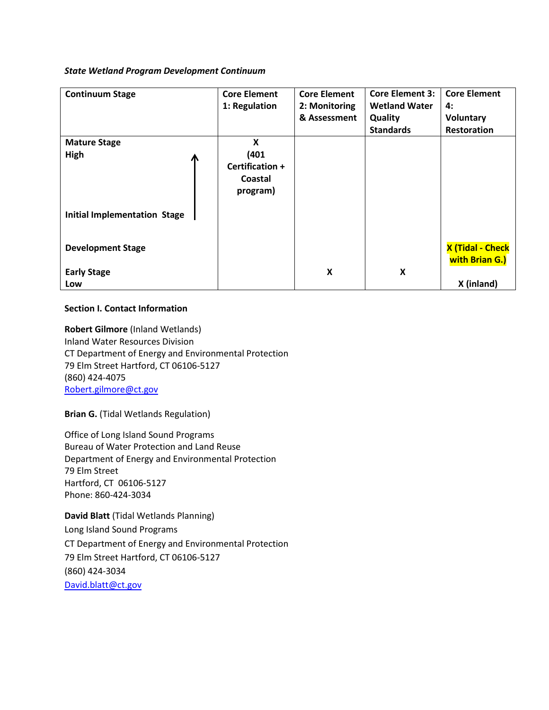## *State Wetland Program Development Continuum*

| <b>Continuum Stage</b>              | <b>Core Element</b><br>1: Regulation                 | <b>Core Element</b><br>2: Monitoring<br>& Assessment | <b>Core Element 3:</b><br><b>Wetland Water</b><br><b>Quality</b> | <b>Core Element</b><br>4:<br>Voluntary    |
|-------------------------------------|------------------------------------------------------|------------------------------------------------------|------------------------------------------------------------------|-------------------------------------------|
|                                     |                                                      |                                                      | <b>Standards</b>                                                 | Restoration                               |
| <b>Mature Stage</b><br>High<br>Л    | X<br>(401)<br>Certification +<br>Coastal<br>program) |                                                      |                                                                  |                                           |
| <b>Initial Implementation Stage</b> |                                                      |                                                      |                                                                  |                                           |
| <b>Development Stage</b>            |                                                      |                                                      |                                                                  | <b>X (Tidal - Check</b><br>with Brian G.) |
| <b>Early Stage</b>                  |                                                      | $\boldsymbol{\mathsf{X}}$                            | X                                                                |                                           |
| Low                                 |                                                      |                                                      |                                                                  | X (inland)                                |

# **Section I. Contact Information**

**Robert Gilmore** (Inland Wetlands) Inland Water Resources Division CT Department of Energy and Environmental Protection 79 Elm Street Hartford, CT 06106-5127 (860) 424-4075 [Robert.gilmore@ct.gov](mailto:Robert.gilmore@ct.gov)

**Brian G.** (Tidal Wetlands Regulation)

Office of Long Island Sound Programs Bureau of Water Protection and Land Reuse Department of Energy and Environmental Protection 79 Elm Street Hartford, CT 06106-5127 Phone: 860-424-3034

**David Blatt** (Tidal Wetlands Planning) Long Island Sound Programs CT Department of Energy and Environmental Protection 79 Elm Street Hartford, CT 06106-5127 (860) 424-3034 [David.blatt@ct.gov](mailto:David.blatt@ct.gov)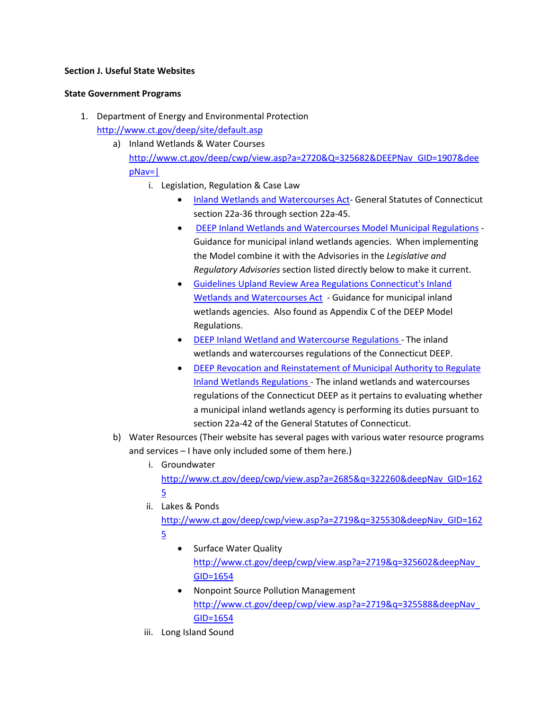# **Section J. Useful State Websites**

### **State Government Programs**

- 1. Department of Energy and Environmental Protection <http://www.ct.gov/deep/site/default.asp>
	- a) Inland Wetlands & Water Courses [http://www.ct.gov/deep/cwp/view.asp?a=2720&Q=325682&DEEPNav\\_GID=1907&dee](http://www.ct.gov/deep/cwp/view.asp?a=2720&Q=325682&depNav_GID=1907&deepNav=|) [pNav=|](http://www.ct.gov/deep/cwp/view.asp?a=2720&Q=325682&depNav_GID=1907&deepNav=|)
		- i. Legislation, Regulation & Case Law
			- [Inland Wetlands and Watercourses Act-](http://www.cga.ct.gov/current/pub/chap_440.htm) General Statutes of Connecticut section 22a-36 through section 22a-45.
			- DEEP [Inland Wetlands and Watercourses Model Municipal Regulations](http://www.ct.gov/deep/lib/deep/water_inland/wetlands/modelregsfinalof4thedition.pdf) Guidance for municipal inland wetlands agencies. When implementing the Model combine it with the Advisories in the *Legislative and Regulatory Advisories* section listed directly below to make it current.
			- [Guidelines Upland Review Area Regulations Connecticut's Inland](http://www.ct.gov/deep/lib/deep/water_inland/wetlands/upland_review_document_june1997.pdf)  [Wetlands and Watercourses Act](http://www.ct.gov/deep/lib/deep/water_inland/wetlands/upland_review_document_june1997.pdf) - Guidance for municipal inland wetlands agencies. Also found as Appendix C of the DEEP Model Regulations.
			- [DEEP Inland Wetland and Watercourse Regulations](http://www.ct.gov/deep/lib/deep/regulations/22a/22a-39-1through15.pdf) The inland wetlands and watercourses regulations of the Connecticut DEEP.
			- DEEP [Revocation and Reinstatement of Municipal Authority to Regulate](http://www.ct.gov/deep/lib/deep/regulations/22a/22a-42d-1.pdf)  [Inland Wetlands Regulations](http://www.ct.gov/deep/lib/deep/regulations/22a/22a-42d-1.pdf) - The inland wetlands and watercourses regulations of the Connecticut DEEP as it pertains to evaluating whether a municipal inland wetlands agency is performing its duties pursuant to section 22a-42 of the General Statutes of Connecticut.
	- b) Water Resources (Their website has several pages with various water resource programs and services – I have only included some of them here.)
		- i. Groundwater

[http://www.ct.gov/deep/cwp/view.asp?a=2685&q=322260&deepNav\\_GID=162](http://www.ct.gov/deep/cwp/view.asp?a=2685&q=322260&deepNav_GID=1625) [5](http://www.ct.gov/deep/cwp/view.asp?a=2685&q=322260&deepNav_GID=1625)

- ii. Lakes & Ponds [http://www.ct.gov/deep/cwp/view.asp?a=2719&q=325530&deepNav\\_GID=162](http://www.ct.gov/deep/cwp/view.asp?a=2719&q=325530&deepNav_GID=1625) [5](http://www.ct.gov/deep/cwp/view.asp?a=2719&q=325530&deepNav_GID=1625)
	- Surface Water Quality [http://www.ct.gov/deep/cwp/view.asp?a=2719&q=325602&deepNav\\_](http://www.ct.gov/deep/cwp/view.asp?a=2719&q=325602&deepNav_GID=1654) [GID=1654](http://www.ct.gov/deep/cwp/view.asp?a=2719&q=325602&deepNav_GID=1654)
	- Nonpoint Source Pollution Management [http://www.ct.gov/deep/cwp/view.asp?a=2719&q=325588&deepNav\\_](http://www.ct.gov/deep/cwp/view.asp?a=2719&q=325588&deepNav_GID=1654) [GID=1654](http://www.ct.gov/deep/cwp/view.asp?a=2719&q=325588&deepNav_GID=1654)
- iii. Long Island Sound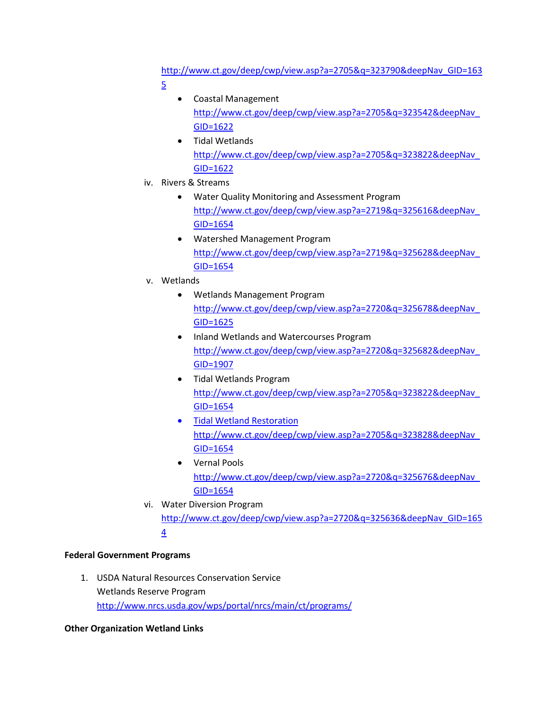[http://www.ct.gov/deep/cwp/view.asp?a=2705&q=323790&deepNav\\_GID=163](http://www.ct.gov/deep/cwp/view.asp?a=2705&q=323790&deepNav_GID=1635) [5](http://www.ct.gov/deep/cwp/view.asp?a=2705&q=323790&deepNav_GID=1635)

- Coastal Management [http://www.ct.gov/deep/cwp/view.asp?a=2705&q=323542&deepNav\\_](http://www.ct.gov/deep/cwp/view.asp?a=2705&q=323542&deepNav_GID=1622) [GID=1622](http://www.ct.gov/deep/cwp/view.asp?a=2705&q=323542&deepNav_GID=1622)
- Tidal Wetlands [http://www.ct.gov/deep/cwp/view.asp?a=2705&q=323822&deepNav\\_](http://www.ct.gov/deep/cwp/view.asp?a=2705&q=323822&deepNav_GID=1622) [GID=1622](http://www.ct.gov/deep/cwp/view.asp?a=2705&q=323822&deepNav_GID=1622)
- iv. Rivers & Streams
	- Water Quality Monitoring and Assessment Program [http://www.ct.gov/deep/cwp/view.asp?a=2719&q=325616&deepNav\\_](http://www.ct.gov/deep/cwp/view.asp?a=2719&q=325616&deepNav_GID=1654) [GID=1654](http://www.ct.gov/deep/cwp/view.asp?a=2719&q=325616&deepNav_GID=1654)
	- Watershed Management Program [http://www.ct.gov/deep/cwp/view.asp?a=2719&q=325628&deepNav\\_](http://www.ct.gov/deep/cwp/view.asp?a=2719&q=325628&deepNav_GID=1654) [GID=1654](http://www.ct.gov/deep/cwp/view.asp?a=2719&q=325628&deepNav_GID=1654)
- v. Wetlands
	- Wetlands Management Program [http://www.ct.gov/deep/cwp/view.asp?a=2720&q=325678&deepNav\\_](http://www.ct.gov/deep/cwp/view.asp?a=2720&q=325678&deepNav_GID=1625) [GID=1625](http://www.ct.gov/deep/cwp/view.asp?a=2720&q=325678&deepNav_GID=1625)
	- Inland Wetlands and Watercourses Program [http://www.ct.gov/deep/cwp/view.asp?a=2720&q=325682&deepNav\\_](http://www.ct.gov/deep/cwp/view.asp?a=2720&q=325682&deepNav_GID=1907) [GID=1907](http://www.ct.gov/deep/cwp/view.asp?a=2720&q=325682&deepNav_GID=1907)
	- Tidal Wetlands Program [http://www.ct.gov/deep/cwp/view.asp?a=2705&q=323822&deepNav\\_](http://www.ct.gov/deep/cwp/view.asp?a=2705&q=323822&deepNav_GID=1654) [GID=1654](http://www.ct.gov/deep/cwp/view.asp?a=2705&q=323822&deepNav_GID=1654)
	- Tidal Wetland Restoration [http://www.ct.gov/deep/cwp/view.asp?a=2705&q=323828&deepNav\\_](http://www.ct.gov/deep/cwp/view.asp?a=2705&q=323828&deepNav_GID=1654) [GID=1654](http://www.ct.gov/deep/cwp/view.asp?a=2705&q=323828&deepNav_GID=1654)
	- Vernal Pools [http://www.ct.gov/deep/cwp/view.asp?a=2720&q=325676&deepNav\\_](http://www.ct.gov/deep/cwp/view.asp?a=2720&q=325676&deepNav_GID=1654) [GID=1654](http://www.ct.gov/deep/cwp/view.asp?a=2720&q=325676&deepNav_GID=1654)
- vi. Water Diversion Program [http://www.ct.gov/deep/cwp/view.asp?a=2720&q=325636&deepNav\\_GID=165](http://www.ct.gov/deep/cwp/view.asp?a=2720&q=325636&deepNav_GID=1654) [4](http://www.ct.gov/deep/cwp/view.asp?a=2720&q=325636&deepNav_GID=1654)

# **Federal Government Programs**

1. USDA Natural Resources Conservation Service Wetlands Reserve Program <http://www.nrcs.usda.gov/wps/portal/nrcs/main/ct/programs/>

# **Other Organization Wetland Links**